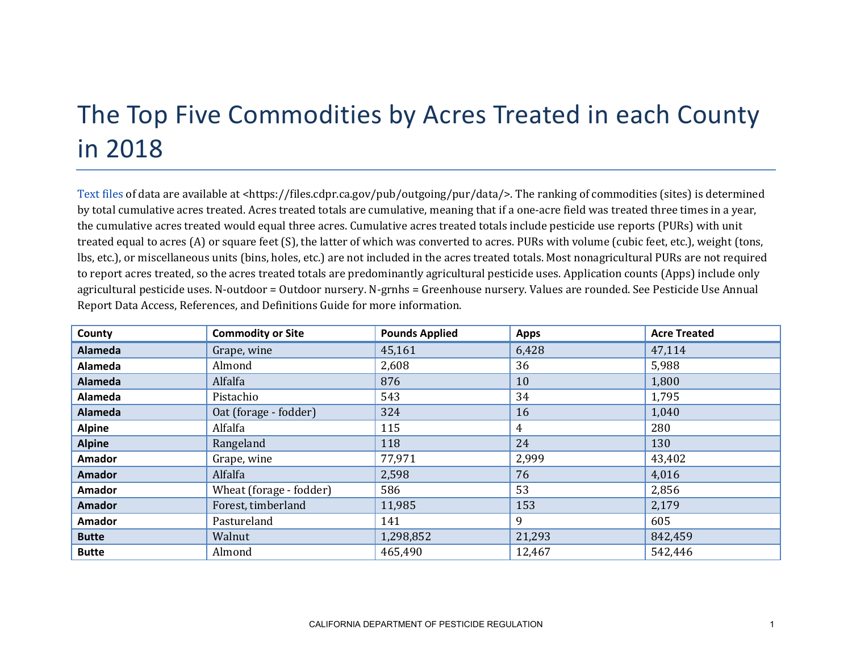## The Top Five Commodities by Acres Treated in each County in 2018

[Text files](https://files.cdpr.ca.gov/pub/outgoing/pur/data/) of data are available at <https://files.cdpr.ca.gov/pub/outgoing/pur/data/>. The ranking of commodities (sites) is determined by total cumulative acres treated. Acres treated totals are cumulative, meaning that if a one-acre field was treated three times in a year, the cumulative acres treated would equal three acres. Cumulative acres treated totals include pesticide use reports (PURs) with unit treated equal to acres (A) or square feet (S), the latter of which was converted to acres. PURs with volume (cubic feet, etc.), weight (tons, lbs, etc.), or miscellaneous units (bins, holes, etc.) are not included in the acres treated totals. Most nonagricultural PURs are not required to report acres treated, so the acres treated totals are predominantly agricultural pesticide uses. Application counts (Apps) include only agricultural pesticide uses. N-outdoor = Outdoor nursery. N-grnhs = Greenhouse nursery. Values are rounded. See Pesticide Use Annual Report Data Access, References, and Definitions Guide for more information.

| County         | <b>Commodity or Site</b> | <b>Pounds Applied</b> | <b>Apps</b> | <b>Acre Treated</b> |
|----------------|--------------------------|-----------------------|-------------|---------------------|
| <b>Alameda</b> | Grape, wine              | 45,161                | 6,428       | 47,114              |
| Alameda        | Almond                   | 2,608                 | 36          | 5,988               |
| <b>Alameda</b> | Alfalfa                  | 876                   | 10          | 1,800               |
| Alameda        | Pistachio                | 543                   | 34          | 1,795               |
| <b>Alameda</b> | Oat (forage - fodder)    | 324                   | 16          | 1,040               |
| <b>Alpine</b>  | Alfalfa                  | 115                   | 4           | 280                 |
| <b>Alpine</b>  | Rangeland                | 118                   | 24          | 130                 |
| <b>Amador</b>  | Grape, wine              | 77,971                | 2,999       | 43,402              |
| <b>Amador</b>  | Alfalfa                  | 2,598                 | 76          | 4,016               |
| <b>Amador</b>  | Wheat (forage - fodder)  | 586                   | 53          | 2,856               |
| <b>Amador</b>  | Forest, timberland       | 11,985                | 153         | 2,179               |
| <b>Amador</b>  | Pastureland              | 141                   | 9           | 605                 |
| <b>Butte</b>   | Walnut                   | 1,298,852             | 21,293      | 842,459             |
| <b>Butte</b>   | Almond                   | 465,490               | 12,467      | 542,446             |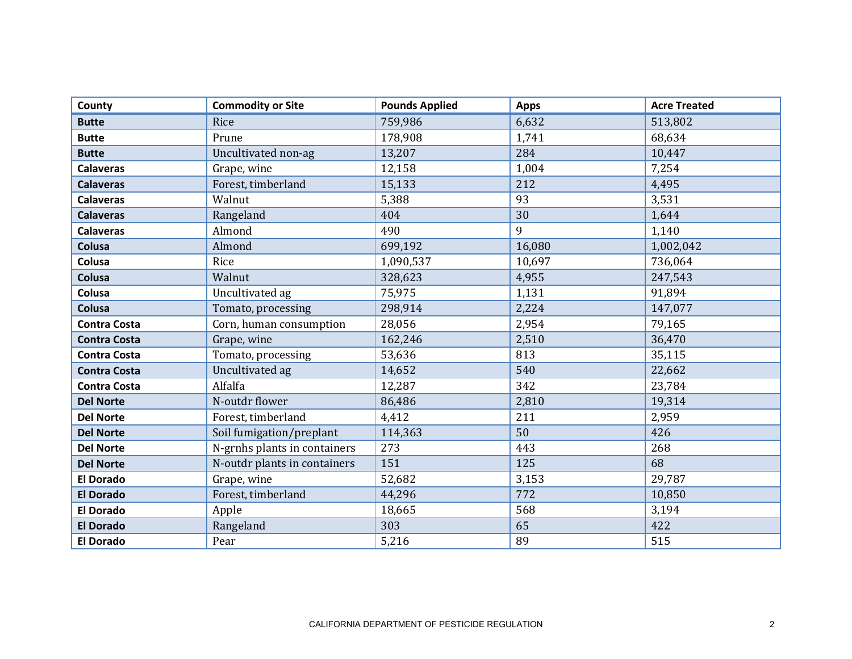| County              | <b>Commodity or Site</b>     | <b>Pounds Applied</b> | <b>Apps</b> | <b>Acre Treated</b> |
|---------------------|------------------------------|-----------------------|-------------|---------------------|
| <b>Butte</b>        | Rice                         | 759,986               | 6,632       | 513,802             |
| <b>Butte</b>        | Prune                        | 178,908               | 1,741       | 68,634              |
| <b>Butte</b>        | Uncultivated non-ag          | 13,207                | 284         | 10,447              |
| <b>Calaveras</b>    | Grape, wine                  | 12,158                | 1,004       | 7,254               |
| <b>Calaveras</b>    | Forest, timberland           | 15,133                | 212         | 4,495               |
| <b>Calaveras</b>    | Walnut                       | 5,388                 | 93          | 3,531               |
| <b>Calaveras</b>    | Rangeland                    | 404                   | 30          | 1,644               |
| <b>Calaveras</b>    | Almond                       | 490                   | 9           | 1,140               |
| Colusa              | Almond                       | 699,192               | 16,080      | 1,002,042           |
| Colusa              | Rice                         | 1,090,537             | 10,697      | 736,064             |
| Colusa              | Walnut                       | 328,623               | 4,955       | 247,543             |
| Colusa              | Uncultivated ag              | 75,975                | 1,131       | 91,894              |
| Colusa              | Tomato, processing           | 298,914               | 2,224       | 147,077             |
| <b>Contra Costa</b> | Corn, human consumption      | 28,056                | 2,954       | 79,165              |
| <b>Contra Costa</b> | Grape, wine                  | 162,246               | 2,510       | 36,470              |
| <b>Contra Costa</b> | Tomato, processing           | 53,636                | 813         | 35,115              |
| <b>Contra Costa</b> | Uncultivated ag              | 14,652                | 540         | 22,662              |
| <b>Contra Costa</b> | Alfalfa                      | 12,287                | 342         | 23,784              |
| <b>Del Norte</b>    | N-outdr flower               | 86,486                | 2,810       | 19,314              |
| <b>Del Norte</b>    | Forest, timberland           | 4,412                 | 211         | 2,959               |
| <b>Del Norte</b>    | Soil fumigation/preplant     | 114,363               | 50          | 426                 |
| <b>Del Norte</b>    | N-grnhs plants in containers | 273                   | 443         | 268                 |
| <b>Del Norte</b>    | N-outdr plants in containers | 151                   | 125         | 68                  |
| <b>El Dorado</b>    | Grape, wine                  | 52,682                | 3,153       | 29,787              |
| <b>El Dorado</b>    | Forest, timberland           | 44,296                | 772         | 10,850              |
| <b>El Dorado</b>    | Apple                        | 18,665                | 568         | 3,194               |
| <b>El Dorado</b>    | Rangeland                    | 303                   | 65          | 422                 |
| <b>El Dorado</b>    | Pear                         | 5,216                 | 89          | 515                 |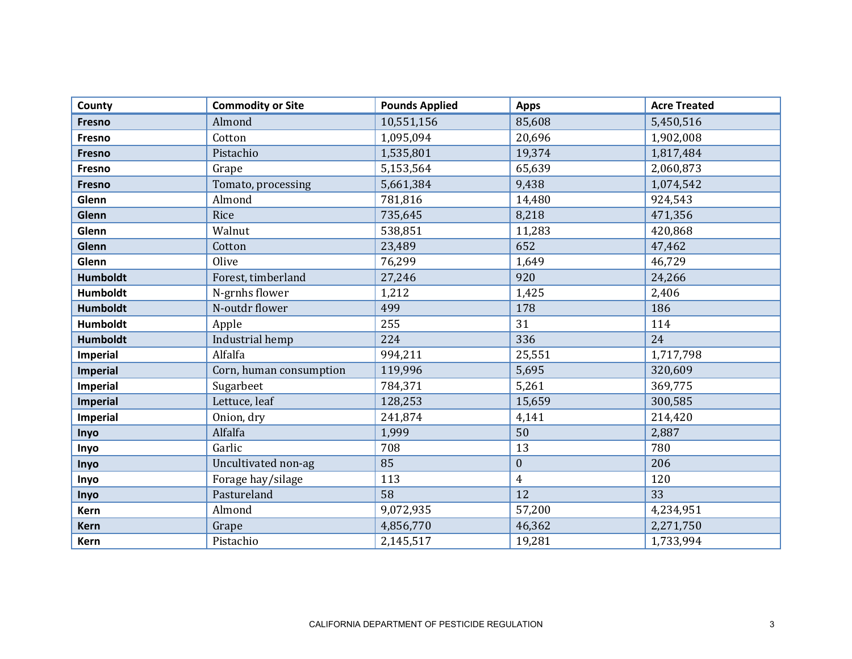| County          | <b>Commodity or Site</b> | <b>Pounds Applied</b> | <b>Apps</b>    | <b>Acre Treated</b> |
|-----------------|--------------------------|-----------------------|----------------|---------------------|
| Fresno          | Almond                   | 10,551,156            | 85,608         | 5,450,516           |
| Fresno          | Cotton                   | 1,095,094             | 20,696         | 1,902,008           |
| Fresno          | Pistachio                | 1,535,801             | 19,374         | 1,817,484           |
| Fresno          | Grape                    | 5,153,564             | 65,639         | 2,060,873           |
| <b>Fresno</b>   | Tomato, processing       | 5,661,384             | 9,438          | 1,074,542           |
| Glenn           | Almond                   | 781,816               | 14,480         | 924,543             |
| Glenn           | Rice                     | 735,645               | 8,218          | 471,356             |
| Glenn           | Walnut                   | 538,851               | 11,283         | 420,868             |
| Glenn           | Cotton                   | 23,489                | 652            | 47,462              |
| Glenn           | Olive                    | 76,299                | 1,649          | 46,729              |
| <b>Humboldt</b> | Forest, timberland       | 27,246                | 920            | 24,266              |
| Humboldt        | N-grnhs flower           | 1,212                 | 1,425          | 2,406               |
| Humboldt        | N-outdr flower           | 499                   | 178            | 186                 |
| <b>Humboldt</b> | Apple                    | 255                   | 31             | 114                 |
| <b>Humboldt</b> | Industrial hemp          | 224                   | 336            | 24                  |
| Imperial        | Alfalfa                  | 994,211               | 25,551         | 1,717,798           |
| <b>Imperial</b> | Corn, human consumption  | 119,996               | 5,695          | 320,609             |
| Imperial        | Sugarbeet                | 784,371               | 5,261          | 369,775             |
| Imperial        | Lettuce, leaf            | 128,253               | 15,659         | 300,585             |
| Imperial        | Onion, dry               | 241,874               | 4,141          | 214,420             |
| Inyo            | Alfalfa                  | 1,999                 | 50             | 2,887               |
| Inyo            | Garlic                   | 708                   | 13             | 780                 |
| Inyo            | Uncultivated non-ag      | 85                    | $\mathbf{0}$   | 206                 |
| Inyo            | Forage hay/silage        | 113                   | $\overline{4}$ | 120                 |
| Inyo            | Pastureland              | 58                    | 12             | 33                  |
| Kern            | Almond                   | 9,072,935             | 57,200         | 4,234,951           |
| <b>Kern</b>     | Grape                    | 4,856,770             | 46,362         | 2,271,750           |
| Kern            | Pistachio                | 2,145,517             | 19,281         | 1,733,994           |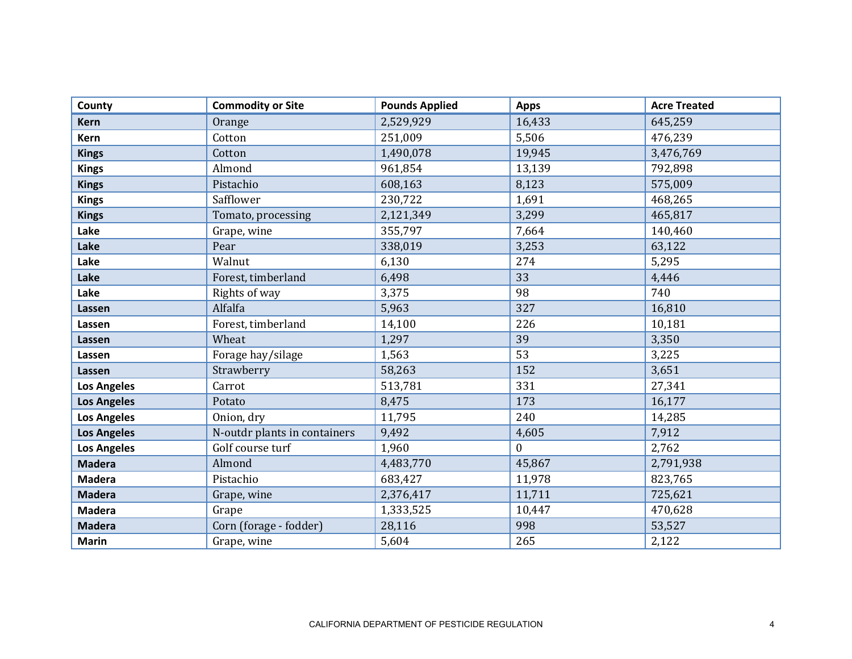| County             | <b>Commodity or Site</b>     | <b>Pounds Applied</b> | <b>Apps</b>      | <b>Acre Treated</b> |
|--------------------|------------------------------|-----------------------|------------------|---------------------|
| <b>Kern</b>        | Orange                       | 2,529,929             | 16,433           | 645,259             |
| Kern               | Cotton                       | 251,009               | 5,506            | 476,239             |
| <b>Kings</b>       | Cotton                       | 1,490,078             | 19,945           | 3,476,769           |
| <b>Kings</b>       | Almond                       | 961,854               | 13,139           | 792,898             |
| <b>Kings</b>       | Pistachio                    | 608,163               | 8,123            | 575,009             |
| <b>Kings</b>       | Safflower                    | 230,722               | 1,691            | 468,265             |
| <b>Kings</b>       | Tomato, processing           | 2,121,349             | 3,299            | 465,817             |
| Lake               | Grape, wine                  | 355,797               | 7,664            | 140,460             |
| Lake               | Pear                         | 338,019               | 3,253            | 63,122              |
| Lake               | Walnut                       | 6,130                 | 274              | 5,295               |
| Lake               | Forest, timberland           | 6,498                 | 33               | 4,446               |
| Lake               | Rights of way                | 3,375                 | 98               | 740                 |
| Lassen             | Alfalfa                      | 5,963                 | 327              | 16,810              |
| Lassen             | Forest, timberland           | 14,100                | 226              | 10,181              |
| Lassen             | Wheat                        | 1,297                 | 39               | 3,350               |
| Lassen             | Forage hay/silage            | 1,563                 | 53               | 3,225               |
| Lassen             | Strawberry                   | 58,263                | 152              | 3,651               |
| <b>Los Angeles</b> | Carrot                       | 513,781               | 331              | 27,341              |
| <b>Los Angeles</b> | Potato                       | 8,475                 | 173              | 16,177              |
| <b>Los Angeles</b> | Onion, dry                   | 11,795                | 240              | 14,285              |
| <b>Los Angeles</b> | N-outdr plants in containers | 9,492                 | 4,605            | 7,912               |
| <b>Los Angeles</b> | Golf course turf             | 1,960                 | $\boldsymbol{0}$ | 2,762               |
| <b>Madera</b>      | Almond                       | 4,483,770             | 45,867           | 2,791,938           |
| <b>Madera</b>      | Pistachio                    | 683,427               | 11,978           | 823,765             |
| <b>Madera</b>      | Grape, wine                  | 2,376,417             | 11,711           | 725,621             |
| <b>Madera</b>      | Grape                        | 1,333,525             | 10,447           | 470,628             |
| <b>Madera</b>      | Corn (forage - fodder)       | 28,116                | 998              | 53,527              |
| <b>Marin</b>       | Grape, wine                  | 5,604                 | 265              | 2,122               |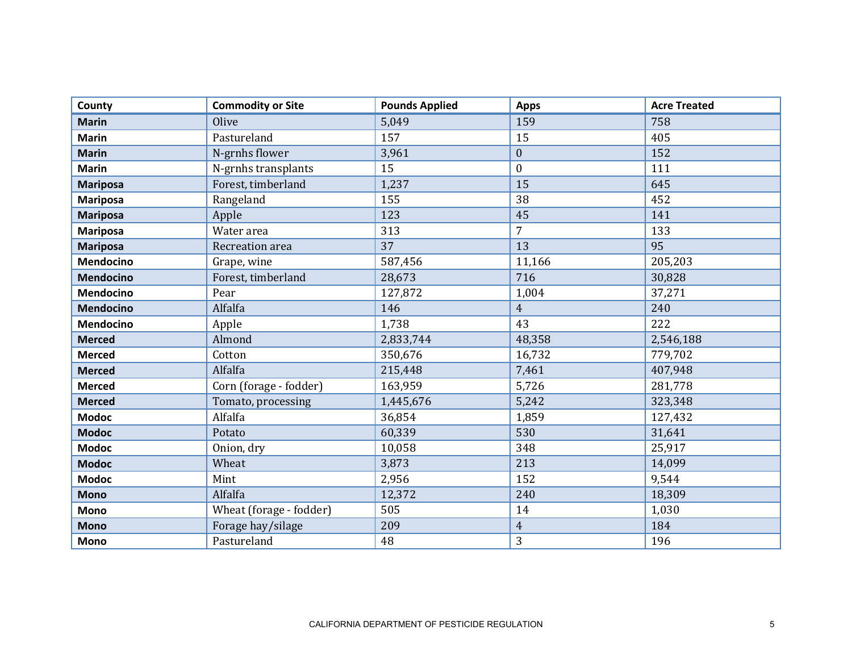| County           | <b>Commodity or Site</b> | <b>Pounds Applied</b> | <b>Apps</b>      | <b>Acre Treated</b> |
|------------------|--------------------------|-----------------------|------------------|---------------------|
| <b>Marin</b>     | Olive                    | 5,049                 | 159              | 758                 |
| <b>Marin</b>     | Pastureland              | 157                   | 15               | 405                 |
| <b>Marin</b>     | N-grnhs flower           | 3,961                 | $\boldsymbol{0}$ | 152                 |
| <b>Marin</b>     | N-grnhs transplants      | 15                    | $\boldsymbol{0}$ | 111                 |
| <b>Mariposa</b>  | Forest, timberland       | 1,237                 | 15               | 645                 |
| <b>Mariposa</b>  | Rangeland                | 155                   | 38               | 452                 |
| <b>Mariposa</b>  | Apple                    | 123                   | 45               | 141                 |
| <b>Mariposa</b>  | Water area               | 313                   | $\overline{7}$   | 133                 |
| <b>Mariposa</b>  | Recreation area          | 37                    | 13               | 95                  |
| <b>Mendocino</b> | Grape, wine              | 587,456               | 11,166           | 205,203             |
| Mendocino        | Forest, timberland       | 28,673                | 716              | 30,828              |
| Mendocino        | Pear                     | 127,872               | 1,004            | 37,271              |
| <b>Mendocino</b> | Alfalfa                  | 146                   | $\overline{4}$   | 240                 |
| <b>Mendocino</b> | Apple                    | 1,738                 | 43               | 222                 |
| <b>Merced</b>    | Almond                   | 2,833,744             | 48,358           | 2,546,188           |
| <b>Merced</b>    | Cotton                   | 350,676               | 16,732           | 779,702             |
| <b>Merced</b>    | Alfalfa                  | 215,448               | 7,461            | 407,948             |
| <b>Merced</b>    | Corn (forage - fodder)   | 163,959               | 5,726            | 281,778             |
| <b>Merced</b>    | Tomato, processing       | 1,445,676             | 5,242            | 323,348             |
| <b>Modoc</b>     | Alfalfa                  | 36,854                | 1,859            | 127,432             |
| <b>Modoc</b>     | Potato                   | 60,339                | 530              | 31,641              |
| <b>Modoc</b>     | Onion, dry               | 10,058                | 348              | 25,917              |
| <b>Modoc</b>     | Wheat                    | 3,873                 | 213              | 14,099              |
| <b>Modoc</b>     | Mint                     | 2,956                 | 152              | 9,544               |
| <b>Mono</b>      | Alfalfa                  | 12,372                | 240              | 18,309              |
| <b>Mono</b>      | Wheat (forage - fodder)  | 505                   | 14               | 1,030               |
| <b>Mono</b>      | Forage hay/silage        | 209                   | $\overline{4}$   | 184                 |
| <b>Mono</b>      | Pastureland              | 48                    | 3                | 196                 |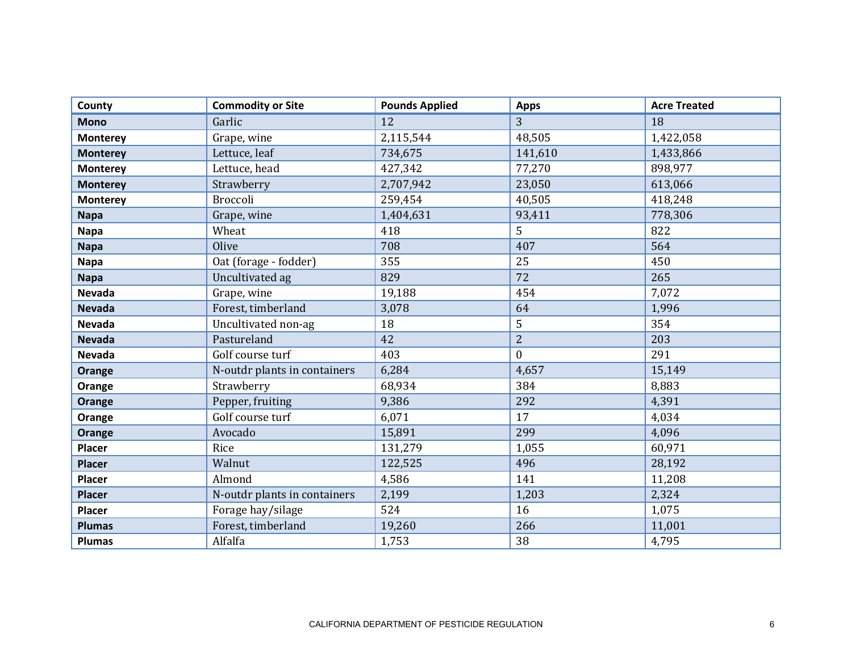| County          | <b>Commodity or Site</b>     | <b>Pounds Applied</b> | <b>Apps</b>    | <b>Acre Treated</b> |
|-----------------|------------------------------|-----------------------|----------------|---------------------|
| <b>Mono</b>     | Garlic                       | 12                    | 3              | 18                  |
| <b>Monterey</b> | Grape, wine                  | 2,115,544             | 48,505         | 1,422,058           |
| <b>Monterey</b> | Lettuce, leaf                | 734,675               | 141,610        | 1,433,866           |
| <b>Monterey</b> | Lettuce, head                | 427,342               | 77,270         | 898,977             |
| <b>Monterey</b> | Strawberry                   | 2,707,942             | 23,050         | 613,066             |
| <b>Monterey</b> | Broccoli                     | 259,454               | 40,505         | 418,248             |
| <b>Napa</b>     | Grape, wine                  | 1,404,631             | 93,411         | 778,306             |
| <b>Napa</b>     | Wheat                        | 418                   | 5              | 822                 |
| <b>Napa</b>     | Olive                        | 708                   | 407            | 564                 |
| <b>Napa</b>     | Oat (forage - fodder)        | 355                   | 25             | 450                 |
| <b>Napa</b>     | Uncultivated ag              | 829                   | 72             | 265                 |
| Nevada          | Grape, wine                  | 19,188                | 454            | 7,072               |
| <b>Nevada</b>   | Forest, timberland           | 3,078                 | 64             | 1,996               |
| <b>Nevada</b>   | Uncultivated non-ag          | 18                    | 5              | 354                 |
| <b>Nevada</b>   | Pastureland                  | 42                    | $\overline{2}$ | 203                 |
| <b>Nevada</b>   | Golf course turf             | 403                   | $\mathbf{0}$   | 291                 |
| Orange          | N-outdr plants in containers | 6,284                 | 4,657          | 15,149              |
| Orange          | Strawberry                   | 68,934                | 384            | 8,883               |
| Orange          | Pepper, fruiting             | 9,386                 | 292            | 4,391               |
| Orange          | Golf course turf             | 6,071                 | 17             | 4,034               |
| Orange          | Avocado                      | 15,891                | 299            | 4,096               |
| <b>Placer</b>   | Rice                         | 131,279               | 1,055          | 60,971              |
| <b>Placer</b>   | Walnut                       | 122,525               | 496            | 28,192              |
| Placer          | Almond                       | 4,586                 | 141            | 11,208              |
| <b>Placer</b>   | N-outdr plants in containers | 2,199                 | 1,203          | 2,324               |
| <b>Placer</b>   | Forage hay/silage            | 524                   | 16             | 1,075               |
| <b>Plumas</b>   | Forest, timberland           | 19,260                | 266            | 11,001              |
| <b>Plumas</b>   | Alfalfa                      | 1,753                 | 38             | 4,795               |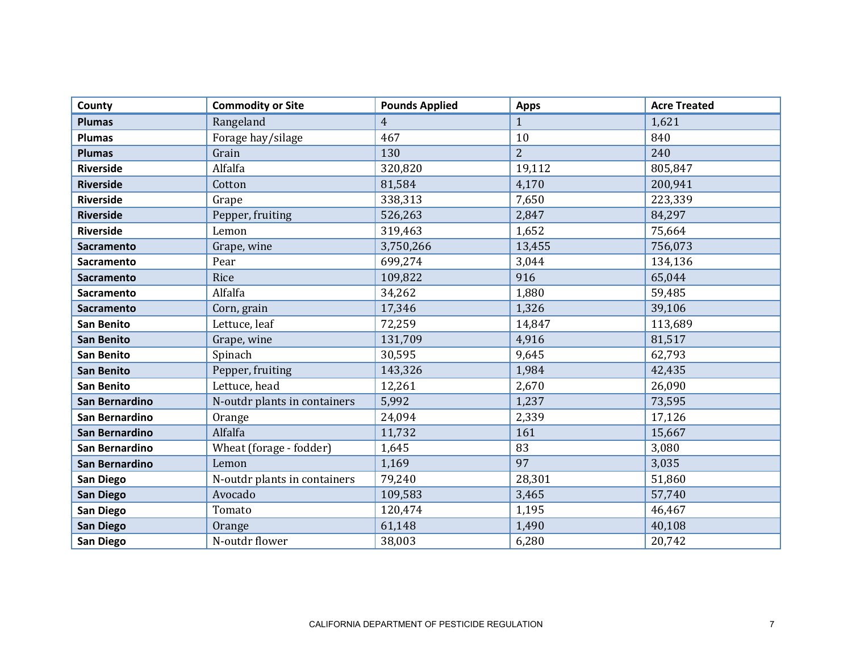| County            | <b>Commodity or Site</b>     | <b>Pounds Applied</b> | <b>Apps</b>    | <b>Acre Treated</b> |
|-------------------|------------------------------|-----------------------|----------------|---------------------|
| <b>Plumas</b>     | Rangeland                    | $\overline{4}$        | $\mathbf{1}$   | 1,621               |
| <b>Plumas</b>     | Forage hay/silage            | 467                   | 10             | 840                 |
| <b>Plumas</b>     | Grain                        | 130                   | $\overline{2}$ | 240                 |
| <b>Riverside</b>  | Alfalfa                      | 320,820               | 19,112         | 805,847             |
| <b>Riverside</b>  | Cotton                       | 81,584                | 4,170          | 200,941             |
| <b>Riverside</b>  | Grape                        | 338,313               | 7,650          | 223,339             |
| <b>Riverside</b>  | Pepper, fruiting             | 526,263               | 2,847          | 84,297              |
| <b>Riverside</b>  | Lemon                        | 319,463               | 1,652          | 75,664              |
| <b>Sacramento</b> | Grape, wine                  | 3,750,266             | 13,455         | 756,073             |
| Sacramento        | Pear                         | 699,274               | 3,044          | 134,136             |
| <b>Sacramento</b> | Rice                         | 109,822               | 916            | 65,044              |
| Sacramento        | Alfalfa                      | 34,262                | 1,880          | 59,485              |
| <b>Sacramento</b> | Corn, grain                  | 17,346                | 1,326          | 39,106              |
| San Benito        | Lettuce, leaf                | 72,259                | 14,847         | 113,689             |
| <b>San Benito</b> | Grape, wine                  | 131,709               | 4,916          | 81,517              |
| San Benito        | Spinach                      | 30,595                | 9,645          | 62,793              |
| <b>San Benito</b> | Pepper, fruiting             | 143,326               | 1,984          | 42,435              |
| <b>San Benito</b> | Lettuce, head                | 12,261                | 2,670          | 26,090              |
| San Bernardino    | N-outdr plants in containers | 5,992                 | 1,237          | 73,595              |
| San Bernardino    | Orange                       | 24,094                | 2,339          | 17,126              |
| San Bernardino    | Alfalfa                      | 11,732                | 161            | 15,667              |
| San Bernardino    | Wheat (forage - fodder)      | 1,645                 | 83             | 3,080               |
| San Bernardino    | Lemon                        | 1,169                 | 97             | 3,035               |
| San Diego         | N-outdr plants in containers | 79,240                | 28,301         | 51,860              |
| <b>San Diego</b>  | Avocado                      | 109,583               | 3,465          | 57,740              |
| San Diego         | Tomato                       | 120,474               | 1,195          | 46,467              |
| <b>San Diego</b>  | Orange                       | 61,148                | 1,490          | 40,108              |
| <b>San Diego</b>  | N-outdr flower               | 38,003                | 6,280          | 20,742              |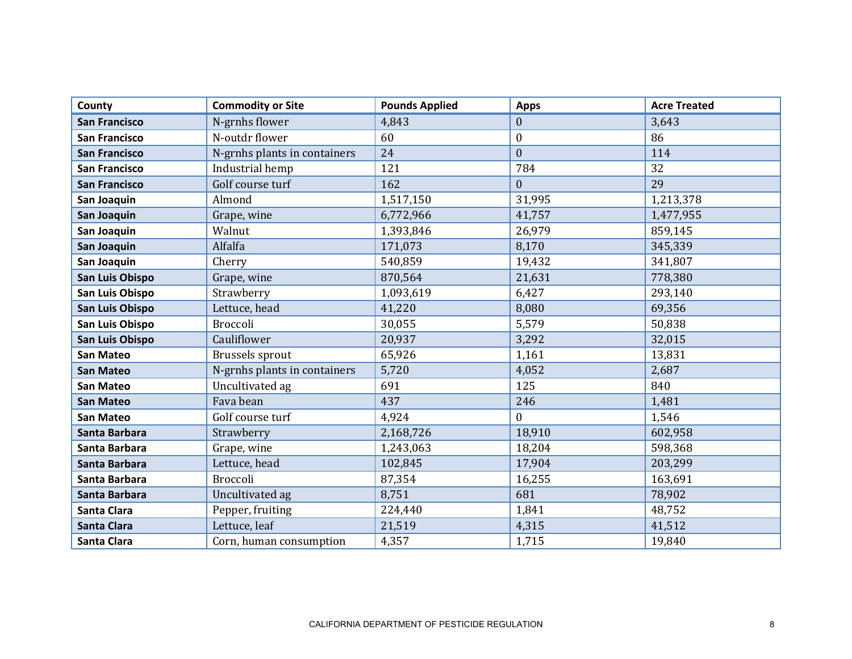| County               | <b>Commodity or Site</b>     | <b>Pounds Applied</b> | <b>Apps</b>      | <b>Acre Treated</b> |
|----------------------|------------------------------|-----------------------|------------------|---------------------|
| <b>San Francisco</b> | N-grnhs flower               | 4,843                 | $\mathbf{0}$     | 3,643               |
| <b>San Francisco</b> | N-outdr flower               | 60                    | $\boldsymbol{0}$ | 86                  |
| <b>San Francisco</b> | N-grnhs plants in containers | 24                    | $\mathbf{0}$     | 114                 |
| <b>San Francisco</b> | Industrial hemp              | 121                   | 784              | 32                  |
| <b>San Francisco</b> | Golf course turf             | 162                   | $\mathbf{0}$     | 29                  |
| San Joaquin          | Almond                       | 1,517,150             | 31,995           | 1,213,378           |
| San Joaquin          | Grape, wine                  | 6,772,966             | 41,757           | 1,477,955           |
| San Joaquin          | Walnut                       | 1,393,846             | 26,979           | 859,145             |
| San Joaquin          | Alfalfa                      | 171,073               | 8,170            | 345,339             |
| San Joaquin          | Cherry                       | 540,859               | 19,432           | 341,807             |
| San Luis Obispo      | Grape, wine                  | 870,564               | 21,631           | 778,380             |
| San Luis Obispo      | Strawberry                   | 1,093,619             | 6,427            | 293,140             |
| San Luis Obispo      | Lettuce, head                | 41,220                | 8,080            | 69,356              |
| San Luis Obispo      | Broccoli                     | 30,055                | 5,579            | 50,838              |
| San Luis Obispo      | Cauliflower                  | 20,937                | 3,292            | 32,015              |
| <b>San Mateo</b>     | Brussels sprout              | 65,926                | 1,161            | 13,831              |
| <b>San Mateo</b>     | N-grnhs plants in containers | 5,720                 | 4,052            | 2,687               |
| <b>San Mateo</b>     | Uncultivated ag              | 691                   | 125              | 840                 |
| <b>San Mateo</b>     | Fava bean                    | 437                   | 246              | 1,481               |
| <b>San Mateo</b>     | Golf course turf             | 4,924                 | $\mathbf{0}$     | 1,546               |
| Santa Barbara        | Strawberry                   | 2,168,726             | 18,910           | 602,958             |
| Santa Barbara        | Grape, wine                  | 1,243,063             | 18,204           | 598,368             |
| Santa Barbara        | Lettuce, head                | 102,845               | 17,904           | 203,299             |
| Santa Barbara        | Broccoli                     | 87,354                | 16,255           | 163,691             |
| Santa Barbara        | Uncultivated ag              | 8,751                 | 681              | 78,902              |
| Santa Clara          | Pepper, fruiting             | 224,440               | 1,841            | 48,752              |
| <b>Santa Clara</b>   | Lettuce, leaf                | 21,519                | 4,315            | 41,512              |
| Santa Clara          | Corn, human consumption      | 4,357                 | 1,715            | 19,840              |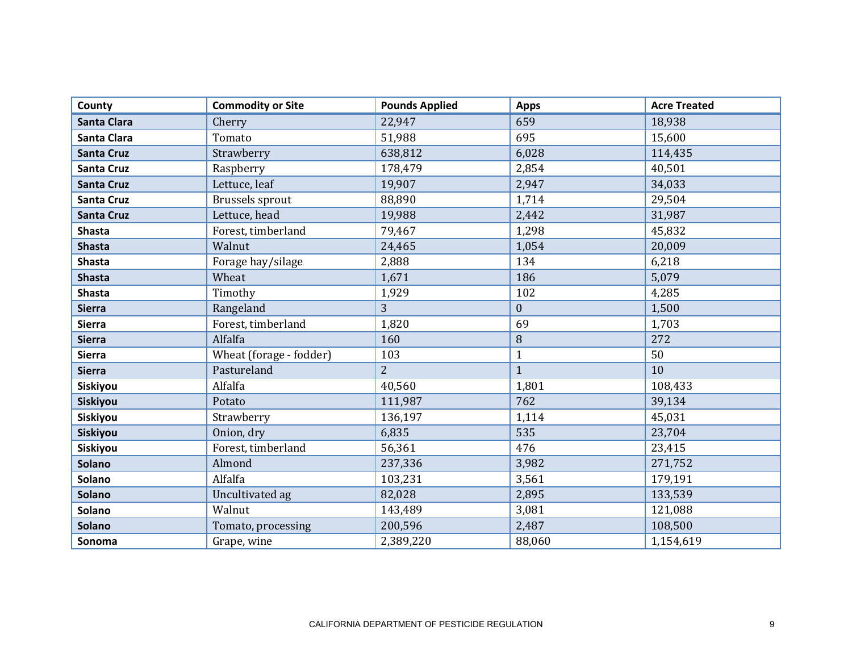| County             | <b>Commodity or Site</b> | <b>Pounds Applied</b> | <b>Apps</b>      | <b>Acre Treated</b> |
|--------------------|--------------------------|-----------------------|------------------|---------------------|
| <b>Santa Clara</b> | Cherry                   | 22,947                | 659              | 18,938              |
| Santa Clara        | Tomato                   | 51,988                | 695              | 15,600              |
| <b>Santa Cruz</b>  | Strawberry               | 638,812               | 6,028            | 114,435             |
| <b>Santa Cruz</b>  | Raspberry                | 178,479               | 2,854            | 40,501              |
| <b>Santa Cruz</b>  | Lettuce, leaf            | 19,907                | 2,947            | 34,033              |
| <b>Santa Cruz</b>  | Brussels sprout          | 88,890                | 1,714            | 29,504              |
| <b>Santa Cruz</b>  | Lettuce, head            | 19,988                | 2,442            | 31,987              |
| <b>Shasta</b>      | Forest, timberland       | 79,467                | 1,298            | 45,832              |
| <b>Shasta</b>      | Walnut                   | 24,465                | 1,054            | 20,009              |
| <b>Shasta</b>      | Forage hay/silage        | 2,888                 | 134              | 6,218               |
| <b>Shasta</b>      | Wheat                    | 1,671                 | 186              | 5,079               |
| <b>Shasta</b>      | Timothy                  | 1,929                 | 102              | 4,285               |
| <b>Sierra</b>      | Rangeland                | 3                     | $\boldsymbol{0}$ | 1,500               |
| <b>Sierra</b>      | Forest, timberland       | 1,820                 | 69               | 1,703               |
| <b>Sierra</b>      | Alfalfa                  | 160                   | $\, 8$           | 272                 |
| <b>Sierra</b>      | Wheat (forage - fodder)  | 103                   | $\mathbf{1}$     | 50                  |
| <b>Sierra</b>      | Pastureland              | $\overline{2}$        | $\mathbf{1}$     | 10                  |
| Siskiyou           | Alfalfa                  | 40,560                | 1,801            | 108,433             |
| Siskiyou           | Potato                   | 111,987               | 762              | 39,134              |
| Siskiyou           | Strawberry               | 136,197               | 1,114            | 45,031              |
| Siskiyou           | Onion, dry               | 6,835                 | 535              | 23,704              |
| Siskiyou           | Forest, timberland       | 56,361                | 476              | 23,415              |
| <b>Solano</b>      | Almond                   | 237,336               | 3,982            | 271,752             |
| <b>Solano</b>      | Alfalfa                  | 103,231               | 3,561            | 179,191             |
| <b>Solano</b>      | Uncultivated ag          | 82,028                | 2,895            | 133,539             |
| <b>Solano</b>      | Walnut                   | 143,489               | 3,081            | 121,088             |
| Solano             | Tomato, processing       | 200,596               | 2,487            | 108,500             |
| Sonoma             | Grape, wine              | 2,389,220             | 88,060           | 1,154,619           |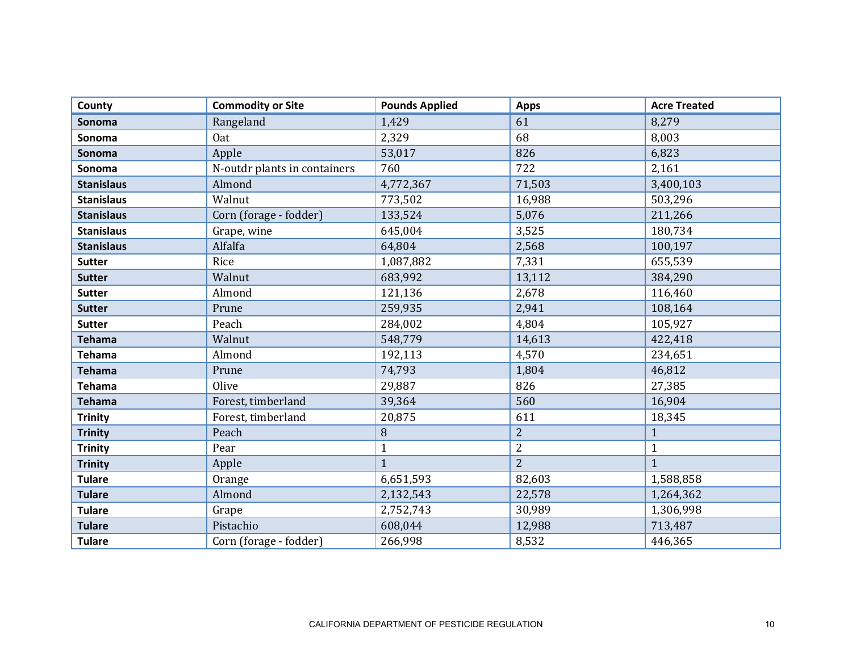| County            | <b>Commodity or Site</b>     | <b>Pounds Applied</b> | <b>Apps</b>    | <b>Acre Treated</b> |
|-------------------|------------------------------|-----------------------|----------------|---------------------|
| <b>Sonoma</b>     | Rangeland                    | 1,429                 | 61             | 8,279               |
| Sonoma            | <b>Oat</b>                   | 2,329                 | 68             | 8,003               |
| Sonoma            | Apple                        | 53,017                | 826            | 6,823               |
| Sonoma            | N-outdr plants in containers | 760                   | 722            | 2,161               |
| <b>Stanislaus</b> | Almond                       | 4,772,367             | 71,503         | 3,400,103           |
| <b>Stanislaus</b> | Walnut                       | 773,502               | 16,988         | 503,296             |
| <b>Stanislaus</b> | Corn (forage - fodder)       | 133,524               | 5,076          | 211,266             |
| <b>Stanislaus</b> | Grape, wine                  | 645,004               | 3,525          | 180,734             |
| <b>Stanislaus</b> | Alfalfa                      | 64,804                | 2,568          | 100,197             |
| <b>Sutter</b>     | Rice                         | 1,087,882             | 7,331          | 655,539             |
| <b>Sutter</b>     | Walnut                       | 683,992               | 13,112         | 384,290             |
| <b>Sutter</b>     | Almond                       | 121,136               | 2,678          | 116,460             |
| <b>Sutter</b>     | Prune                        | 259,935               | 2,941          | 108,164             |
| <b>Sutter</b>     | Peach                        | 284,002               | 4,804          | 105,927             |
| <b>Tehama</b>     | Walnut                       | 548,779               | 14,613         | 422,418             |
| <b>Tehama</b>     | Almond                       | 192,113               | 4,570          | 234,651             |
| <b>Tehama</b>     | Prune                        | 74,793                | 1,804          | 46,812              |
| <b>Tehama</b>     | Olive                        | 29,887                | 826            | 27,385              |
| <b>Tehama</b>     | Forest, timberland           | 39,364                | 560            | 16,904              |
| <b>Trinity</b>    | Forest, timberland           | 20,875                | 611            | 18,345              |
| <b>Trinity</b>    | Peach                        | 8                     | $\overline{2}$ | $\mathbf{1}$        |
| <b>Trinity</b>    | Pear                         | $\mathbf{1}$          | $\overline{2}$ | $\mathbf{1}$        |
| <b>Trinity</b>    | Apple                        | $\mathbf{1}$          | $\overline{2}$ | $\mathbf{1}$        |
| <b>Tulare</b>     | Orange                       | 6,651,593             | 82,603         | 1,588,858           |
| <b>Tulare</b>     | Almond                       | 2,132,543             | 22,578         | 1,264,362           |
| <b>Tulare</b>     | Grape                        | 2,752,743             | 30,989         | 1,306,998           |
| <b>Tulare</b>     | Pistachio                    | 608,044               | 12,988         | 713,487             |
| <b>Tulare</b>     | Corn (forage - fodder)       | 266,998               | 8,532          | 446,365             |